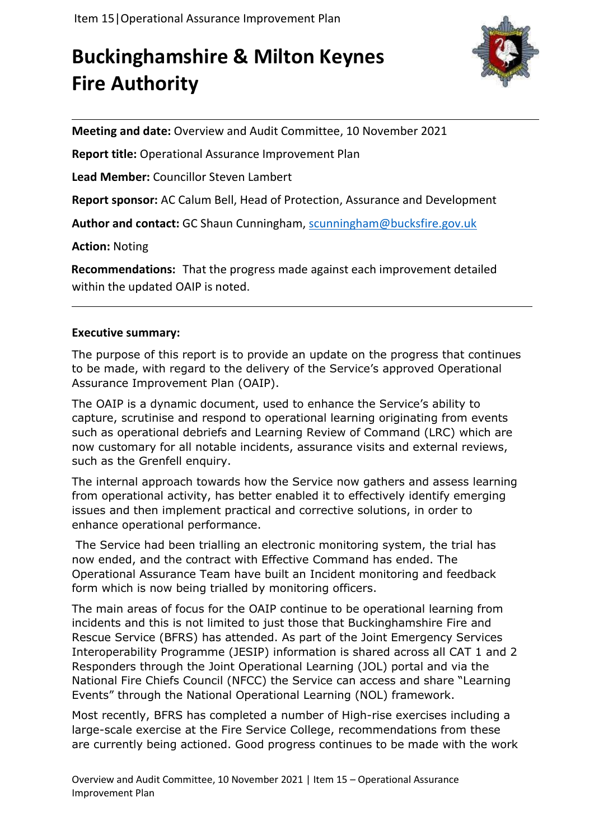# **Buckinghamshire & Milton Keynes Fire Authority**



**Meeting and date:** Overview and Audit Committee, 10 November 2021

**Report title:** Operational Assurance Improvement Plan

**Lead Member:** Councillor Steven Lambert

**Report sponsor:** AC Calum Bell, Head of Protection, Assurance and Development

**Author and contact:** GC Shaun Cunningham, [scunningham@bucksfire.gov.uk](mailto:scunningham@bucksfire.gov.uk)

**Action:** Noting

**Recommendations:** That the progress made against each improvement detailed within the updated OAIP is noted.

#### **Executive summary:**

The purpose of this report is to provide an update on the progress that continues to be made, with regard to the delivery of the Service's approved Operational Assurance Improvement Plan (OAIP).

The OAIP is a dynamic document, used to enhance the Service's ability to capture, scrutinise and respond to operational learning originating from events such as operational debriefs and Learning Review of Command (LRC) which are now customary for all notable incidents, assurance visits and external reviews, such as the Grenfell enquiry.

The internal approach towards how the Service now gathers and assess learning from operational activity, has better enabled it to effectively identify emerging issues and then implement practical and corrective solutions, in order to enhance operational performance.

The Service had been trialling an electronic monitoring system, the trial has now ended, and the contract with Effective Command has ended. The Operational Assurance Team have built an Incident monitoring and feedback form which is now being trialled by monitoring officers.

The main areas of focus for the OAIP continue to be operational learning from incidents and this is not limited to just those that Buckinghamshire Fire and Rescue Service (BFRS) has attended. As part of the Joint Emergency Services Interoperability Programme (JESIP) information is shared across all CAT 1 and 2 Responders through the Joint Operational Learning (JOL) portal and via the National Fire Chiefs Council (NFCC) the Service can access and share "Learning Events" through the National Operational Learning (NOL) framework.

Most recently, BFRS has completed a number of High-rise exercises including a large-scale exercise at the Fire Service College, recommendations from these are currently being actioned. Good progress continues to be made with the work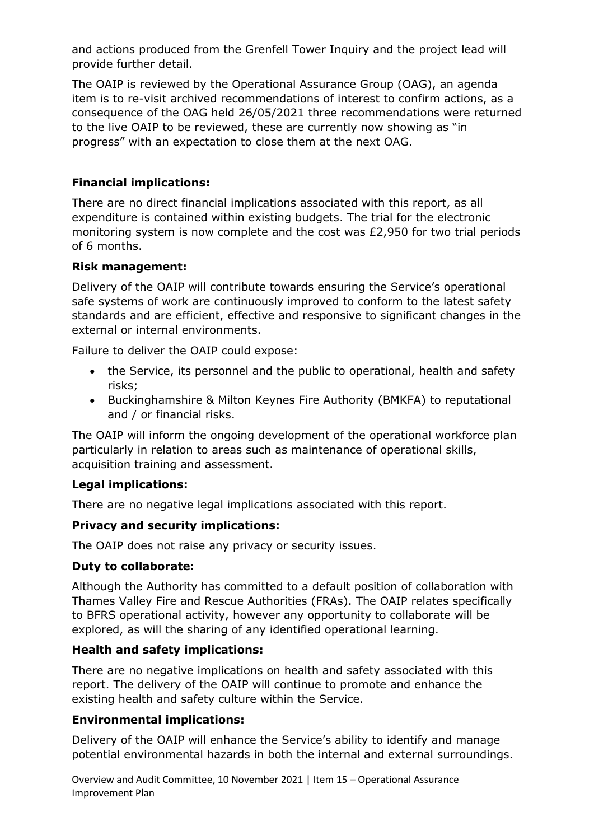and actions produced from the Grenfell Tower Inquiry and the project lead will provide further detail.

The OAIP is reviewed by the Operational Assurance Group (OAG), an agenda item is to re-visit archived recommendations of interest to confirm actions, as a consequence of the OAG held 26/05/2021 three recommendations were returned to the live OAIP to be reviewed, these are currently now showing as "in progress" with an expectation to close them at the next OAG.

# **Financial implications:**

There are no direct financial implications associated with this report, as all expenditure is contained within existing budgets. The trial for the electronic monitoring system is now complete and the cost was £2,950 for two trial periods of 6 months.

#### **Risk management:**

Delivery of the OAIP will contribute towards ensuring the Service's operational safe systems of work are continuously improved to conform to the latest safety standards and are efficient, effective and responsive to significant changes in the external or internal environments.

Failure to deliver the OAIP could expose:

- the Service, its personnel and the public to operational, health and safety risks;
- Buckinghamshire & Milton Keynes Fire Authority (BMKFA) to reputational and / or financial risks.

The OAIP will inform the ongoing development of the operational workforce plan particularly in relation to areas such as maintenance of operational skills, acquisition training and assessment.

# **Legal implications:**

There are no negative legal implications associated with this report.

# **Privacy and security implications:**

The OAIP does not raise any privacy or security issues.

# **Duty to collaborate:**

Although the Authority has committed to a default position of collaboration with Thames Valley Fire and Rescue Authorities (FRAs). The OAIP relates specifically to BFRS operational activity, however any opportunity to collaborate will be explored, as will the sharing of any identified operational learning.

# **Health and safety implications:**

There are no negative implications on health and safety associated with this report. The delivery of the OAIP will continue to promote and enhance the existing health and safety culture within the Service.

# **Environmental implications:**

Delivery of the OAIP will enhance the Service's ability to identify and manage potential environmental hazards in both the internal and external surroundings.

Overview and Audit Committee, 10 November 2021 | Item 15 – Operational Assurance Improvement Plan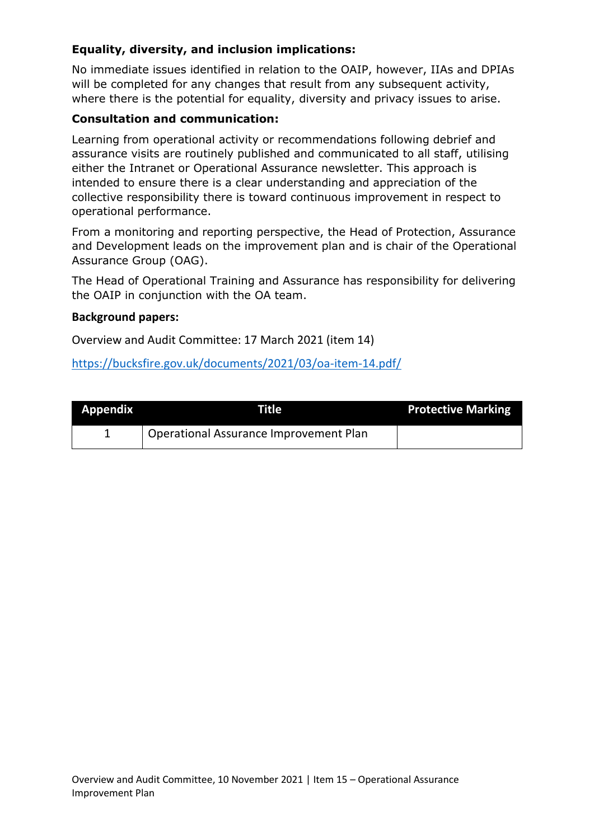# **Equality, diversity, and inclusion implications:**

No immediate issues identified in relation to the OAIP, however, IIAs and DPIAs will be completed for any changes that result from any subsequent activity, where there is the potential for equality, diversity and privacy issues to arise.

#### **Consultation and communication:**

Learning from operational activity or recommendations following debrief and assurance visits are routinely published and communicated to all staff, utilising either the Intranet or Operational Assurance newsletter. This approach is intended to ensure there is a clear understanding and appreciation of the collective responsibility there is toward continuous improvement in respect to operational performance.

From a monitoring and reporting perspective, the Head of Protection, Assurance and Development leads on the improvement plan and is chair of the Operational Assurance Group (OAG).

The Head of Operational Training and Assurance has responsibility for delivering the OAIP in conjunction with the OA team.

#### **Background papers:**

Overview and Audit Committee: 17 March 2021 (item 14)

#### <https://bucksfire.gov.uk/documents/2021/03/oa-item-14.pdf/>

| <b>Appendix</b> | Title                                  | <b>Protective Marking</b> |
|-----------------|----------------------------------------|---------------------------|
|                 | Operational Assurance Improvement Plan |                           |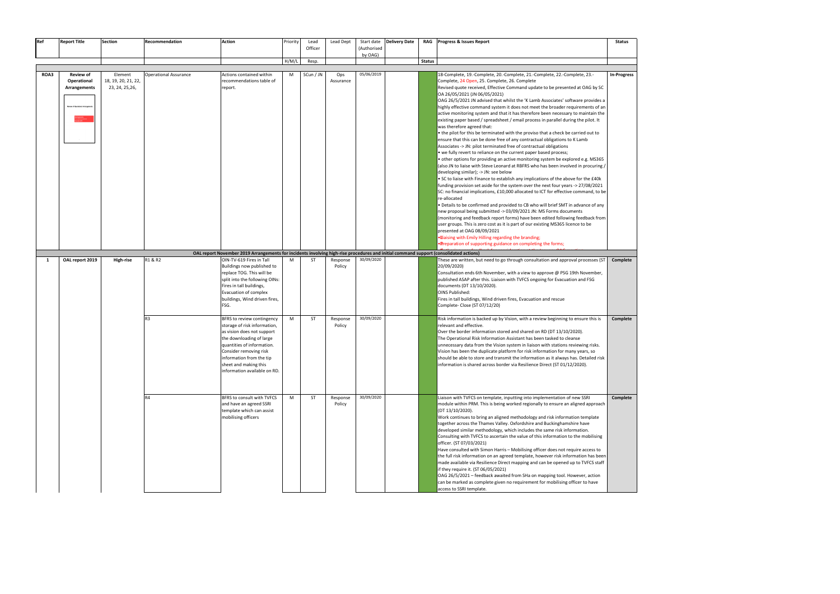| Ref  | <b>Report Title</b>                                                                   | <b>Section</b>                                    | Recommendation               | <b>Action</b>                                                                                                                                                                                                                                                     | Priority | Lead<br>Officer | Lead Dept          | Start date<br>(Authorised | <b>Delivery Date</b> |               | RAG Progress & Issues Report                                                                                                                                                                                                                                                                                                                                                                                                                                                                                                                                                                                                                                                                                                                                                                                                                                                                                                                                                                                                                                                                                                                                                                                                                                                                                                                                                                                                                                                                                                                                                                                                                                                                                                                                                      | <b>Status</b>      |
|------|---------------------------------------------------------------------------------------|---------------------------------------------------|------------------------------|-------------------------------------------------------------------------------------------------------------------------------------------------------------------------------------------------------------------------------------------------------------------|----------|-----------------|--------------------|---------------------------|----------------------|---------------|-----------------------------------------------------------------------------------------------------------------------------------------------------------------------------------------------------------------------------------------------------------------------------------------------------------------------------------------------------------------------------------------------------------------------------------------------------------------------------------------------------------------------------------------------------------------------------------------------------------------------------------------------------------------------------------------------------------------------------------------------------------------------------------------------------------------------------------------------------------------------------------------------------------------------------------------------------------------------------------------------------------------------------------------------------------------------------------------------------------------------------------------------------------------------------------------------------------------------------------------------------------------------------------------------------------------------------------------------------------------------------------------------------------------------------------------------------------------------------------------------------------------------------------------------------------------------------------------------------------------------------------------------------------------------------------------------------------------------------------------------------------------------------------|--------------------|
|      |                                                                                       |                                                   |                              |                                                                                                                                                                                                                                                                   |          |                 |                    | by OAG)                   |                      |               |                                                                                                                                                                                                                                                                                                                                                                                                                                                                                                                                                                                                                                                                                                                                                                                                                                                                                                                                                                                                                                                                                                                                                                                                                                                                                                                                                                                                                                                                                                                                                                                                                                                                                                                                                                                   |                    |
|      |                                                                                       |                                                   |                              |                                                                                                                                                                                                                                                                   | H/M/L    | Resp.           |                    |                           |                      | <b>Status</b> |                                                                                                                                                                                                                                                                                                                                                                                                                                                                                                                                                                                                                                                                                                                                                                                                                                                                                                                                                                                                                                                                                                                                                                                                                                                                                                                                                                                                                                                                                                                                                                                                                                                                                                                                                                                   |                    |
| ROA3 | <b>Review of</b><br>Operational<br><b>Arrangements</b><br>eview of Operational Arrang | Element<br>18, 19, 20, 21, 22,<br>23, 24, 25, 26, | <b>Operational Assurance</b> | Actions contained within<br>recommendations table of<br>report.                                                                                                                                                                                                   | M        | SCun / JN       | Ops<br>Assurance   | 05/06/2019                |                      |               | 18-Complete, 19.-Complete, 20.-Complete, 21.-Complete, 22.-Complete, 23.-<br>Complete, 24 Open, 25. Complete, 26. Complete<br>Revised quote received, Effective Command update to be presented at OAG by SC<br>OA 26/05/2021 (JN 06/05/2021)<br>OAG 26/5/2021 JN advised that whilst the 'K Lamb Associates' software provides a<br>highly effective command system it does not meet the broader requirements of an<br>active monitoring system and that it has therefore been necessary to maintain the<br>existing paper based / spreadsheet / email process in parallel during the pilot. It<br>was therefore agreed that:<br>• the pilot for this be terminated with the proviso that a check be carried out to<br>ensure that this can be done free of any contractual obligations to K Lamb<br>Associates -> JN: pilot terminated free of contractual obligations<br>• we fully revert to reliance on the current paper based process;<br>other options for providing an active monitoring system be explored e.g. MS365<br>(also JN to liaise with Steve Leonard at RBFRS who has been involved in procuring /<br>developing similar); -> JN: see below<br>. SC to liaise with Finance to establish any implications of the above for the £40k<br>funding provision set aside for the system over the next four years -> 27/08/2021<br>SC: no financial implications, £10,000 allocated to ICT for effective command, to be<br>re-allocated<br>Details to be confirmed and provided to CB who will brief SMT in advance of any<br>new proposal being submitted -> 03/09/2021 JN: MS Forms documents<br>(monitoring and feedback report forms) have been edited following feedback from<br>user groups. This is zero cost as it is part of our existing MS365 licence to be | <b>In-Progress</b> |
|      |                                                                                       |                                                   |                              | OAL report November 2019 Arrangements for incidents involving high-rise procedures and initial command support (consolidated actions)                                                                                                                             |          |                 |                    |                           |                      |               | presented at OAG 08/09/2021<br>. Elaising with Emily Hilling regarding the branding;<br><b>Pereparation of supporting guidance on completing the forms;</b>                                                                                                                                                                                                                                                                                                                                                                                                                                                                                                                                                                                                                                                                                                                                                                                                                                                                                                                                                                                                                                                                                                                                                                                                                                                                                                                                                                                                                                                                                                                                                                                                                       |                    |
| 1    | OAL report 2019                                                                       | High-rise                                         | R1 & R2                      | OIN-TV-619 Fires in Tall<br>Buildings now published to<br>replace TOG. This will be<br>split into the following OINs:<br>Fires in tall buildings,<br>Evacuation of complex<br>buildings, Wind driven fires,<br>FSG.                                               | M        | ST              | Response<br>Policy | 30/09/2020                |                      |               | These are written, but need to go through consultation and approval processes (ST<br>20/09/2020)<br>Consultation ends 6th November, with a view to approve @ PSG 19th November,<br>published ASAP after this. Liaison with TVFCS ongoing for Evacuation and FSG<br>documents (DT 13/10/2020).<br>OINS Published:<br>Fires in tall buildings, Wind driven fires, Evacuation and rescue<br>Complete- Close (ST 07/12/20)                                                                                                                                                                                                                                                                                                                                                                                                                                                                                                                                                                                                                                                                                                                                                                                                                                                                                                                                                                                                                                                                                                                                                                                                                                                                                                                                                            | Complete           |
|      |                                                                                       |                                                   | R <sub>3</sub>               | BFRS to review contingency<br>storage of risk information,<br>as vision does not support<br>the downloading of large<br>quantities of information.<br>Consider removing risk<br>information from the tip<br>sheet and making this<br>information available on RD. | M        | ST              | Response<br>Policy | 30/09/2020                |                      |               | Risk information is backed up by Vision, with a review beginning to ensure this is<br>relevant and effective.<br>Over the border information stored and shared on RD (DT 13/10/2020).<br>The Operational Risk Information Assistant has been tasked to cleanse<br>unnecessary data from the Vision system in liaison with stations reviewing risks.<br>Vision has been the duplicate platform for risk information for many years, so<br>should be able to store and transmit the information as it always has. Detailed risk<br>information is shared across border via Resilience Direct (ST 01/12/2020).                                                                                                                                                                                                                                                                                                                                                                                                                                                                                                                                                                                                                                                                                                                                                                                                                                                                                                                                                                                                                                                                                                                                                                       | Complete           |
|      |                                                                                       |                                                   | R4                           | BFRS to consult with TVFCS<br>and have an agreed SSRI<br>template which can assist<br>mobilising officers                                                                                                                                                         | M        | ST              | Response<br>Policy | 30/09/2020                |                      |               | Liaison with TVFCS on template, inputting into implementation of new SSRI<br>module within PRM. This is being worked regionally to ensure an aligned approach<br>(DT 13/10/2020).<br>Work continues to bring an aligned methodology and risk information template<br>together across the Thames Valley. Oxfordshire and Buckinghamshire have<br>developed similar methodology, which includes the same risk information.<br>Consulting with TVFCS to ascertain the value of this information to the mobilising<br>officer. (ST 07/03/2021)<br>Have consulted with Simon Harris - Mobilising officer does not require access to<br>the full risk information on an agreed template, however risk information has been<br>made available via Resilience Direct mapping and can be opened up to TVFCS staff<br>if they require it. (ST 06/05/2021)<br>OAG 26/5/2021 - feedback awaited from SHa on mapping tool. However, action<br>can be marked as complete given no requirement for mobilising officer to have<br>access to SSRI template.                                                                                                                                                                                                                                                                                                                                                                                                                                                                                                                                                                                                                                                                                                                                        | Complete           |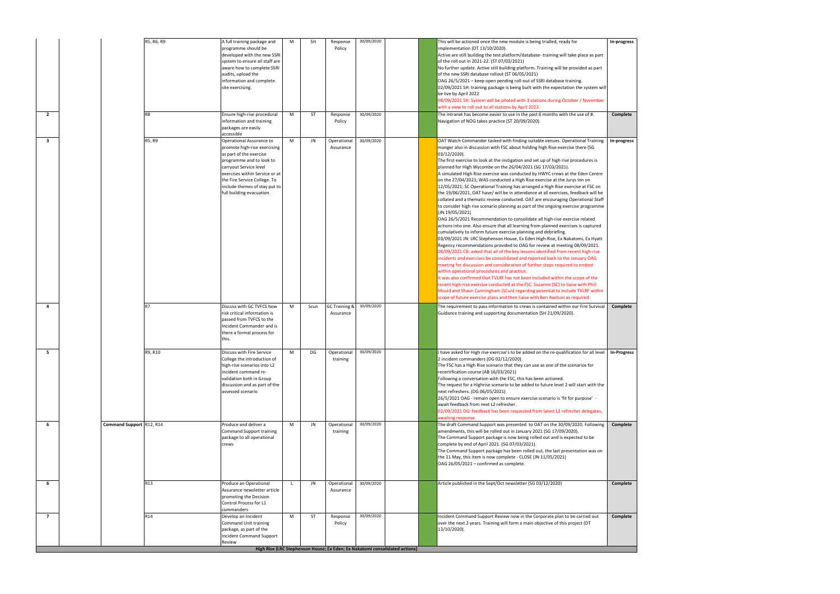| $\overline{2}$          |                          | R5, R6, R9<br>R <sub>8</sub> | A full training package and<br>programme should be<br>developed with the new SSRI<br>system to ensure all staff are<br>aware how to complete SSRI<br>audits, upload the<br>information and complete<br>site exercising.<br>Ensure high-rise procedural<br>information and training                             | M<br>M | <b>SH</b><br>ST | Response<br>Policy<br>Response<br>Policy | 30/09/2020<br>30/09/2020 | This will be actioned once the new module is being trialled, ready for<br>implementation (DT 13/10/2020).<br>Active are still building the test platform/database-training will take place as part<br>of the roll out in 2021-22. (ST 07/03/2021)<br>No further update. Active still building platform. Training will be provided as part<br>of the new SSRI database rollout (ST 06/05/2021)<br>OAG 26/5/2021 - keep open pending roll-out of SSRI database training.<br>02/09/2021 SH: training package is being built with the expectation the system will<br>be live by April 2022<br>08/09/2021 SH: System will be piloted with 3 stations during October / November<br>with a view to roll out to all stations by April 2022.<br>The intranet has become easier to use in the past 6 months with the use of #.<br>Navigation of NOG takes practice (ST 20/09/2020).                                                                                                                                                                                                                                                                                                                                                                                                                                                                                                                                                                                                                                                                                                                                                                                                                                                                                                                                                                                                                                              | In-progress<br>Complete |
|-------------------------|--------------------------|------------------------------|----------------------------------------------------------------------------------------------------------------------------------------------------------------------------------------------------------------------------------------------------------------------------------------------------------------|--------|-----------------|------------------------------------------|--------------------------|------------------------------------------------------------------------------------------------------------------------------------------------------------------------------------------------------------------------------------------------------------------------------------------------------------------------------------------------------------------------------------------------------------------------------------------------------------------------------------------------------------------------------------------------------------------------------------------------------------------------------------------------------------------------------------------------------------------------------------------------------------------------------------------------------------------------------------------------------------------------------------------------------------------------------------------------------------------------------------------------------------------------------------------------------------------------------------------------------------------------------------------------------------------------------------------------------------------------------------------------------------------------------------------------------------------------------------------------------------------------------------------------------------------------------------------------------------------------------------------------------------------------------------------------------------------------------------------------------------------------------------------------------------------------------------------------------------------------------------------------------------------------------------------------------------------------------------------------------------------------------------------------------------------------|-------------------------|
| 3                       |                          | R5, R9                       | packages are easily<br>accessible<br>Operational Assurance to<br>promote high-rise exercising<br>as part of the exercise<br>programme and to look to<br>carryout Service level<br>exercises within Service or at<br>the Fire Service College. To<br>include themes of stay put to<br>full building evacuation. | M      | JN              | Operational<br>Assurance                 | 30/09/2020               | OAT Watch Commander tasked with finding suitable venues. Operational Training<br>manger also in discussion with FSC about holding high Rise exercise there (SG<br>03/12/2020).<br>The first exercise to look at the instigation and set up of high rise procedures is<br>planned for High Wycombe on the 26/04/2021 (SG 17/03/2021).<br>A simulated High Rise exercise was conducted by HWYC crews at the Eden Centre<br>on the 27/04/2021; WAS conducted a High Rise exercise at the Jurys Inn on<br>12/05/2021; SC Operational Training has arranged a High Rise exercise at FSC on<br>the 19/06/2021, OAT have/ will be in attendance at all exercises, feedback will be<br>collated and a thematic review conducted. OAT are encouraging Operational Staff<br>to consider high rise scenario planning as part of the ongoing exercise programme<br>(JN 19/05/2021)<br>OAG 26/5/2021 Recommendation to consolidate all high-rise exercise related<br>actions into one. Also ensure that all learning from planned exercises is captured<br>cumulatively to inform future exercise planning and debriefing.<br>03/09/2021 JN: LRC Stephenson House, Ex Eden High-Rise, Ex Nakatomi, Ex Hyatt<br>Regency recommendations provided to OAG for review at meeting 08/09/2021.<br>08/09/2021 CB: asked that all of the key lessons identified from recent high-rise<br>incidents and exercises be consolidated and reported back to the January OAG<br>meeting for discussion and consideration of further steps required to embed<br>within operational procedures and practice.<br>It was also confirmed that TVLRF has not been included within the scope of the<br>recent high-rise exercise conducted at the FSC. Suzanne (SC) to liaise with Phill<br>Mould and Shaun Cunningham (SCun) regarding potential to include TVLRF within<br>scope of future exercise plans and then liaise with Ben Axelson as required. | In-progress             |
| $\overline{\mathbf{a}}$ |                          | R7                           | Discuss with GC TVFCS how<br>risk critical information is<br>passed from TVFCS to the<br>Incident Commander and is<br>there a formal process for<br>this.                                                                                                                                                      | M      | Scun            | <b>GC Training &amp;</b><br>Assurance    | 30/09/2020               | The requirement to pass information to crews is contained within our Fire Survival<br>Guidance training and supporting documentation (SH 21/09/2020).                                                                                                                                                                                                                                                                                                                                                                                                                                                                                                                                                                                                                                                                                                                                                                                                                                                                                                                                                                                                                                                                                                                                                                                                                                                                                                                                                                                                                                                                                                                                                                                                                                                                                                                                                                  | Complete                |
| 5                       |                          | R9, R10                      | Discuss with Fire Service<br>College the introduction of<br>high-rise scenarios into L2<br>incident command re-<br>validation both in Group<br>discussion and as part of the<br>assessed scenario                                                                                                              | M      | DG              | Operational 30/09/2020<br>training       |                          | I have asked for High rise exercise's to be added on the re-qualification for all level   In-Progress<br>2 incident commanders (DG 02/12/2020).<br>The FSC has a High Rise scenario that they can use as one of the scenarios for<br>recertification course (AB 16/03/2021)<br>Following a conversation with the FSC, this has been actioned.<br>The request for a Highrise scenario to be added to future level 2 will start with the<br>next refreshers. (DG 06/05/2021)<br>26/5/2021 OAG - remain open to ensure exercise scenario is 'fit for purpose' -<br>await feedback from next L2 refresher.<br>02/09/2021 DG: feedback has been requested from latest L2 refresher delegates,<br>awaiting response.                                                                                                                                                                                                                                                                                                                                                                                                                                                                                                                                                                                                                                                                                                                                                                                                                                                                                                                                                                                                                                                                                                                                                                                                         |                         |
| 6                       | Command Support R12, R14 |                              | Produce and deliver a<br><b>Command Support training</b><br>package to all operational<br>crews                                                                                                                                                                                                                | M      | JN              | Operational<br>training                  | 30/09/2020               | The draft Command Support was presented to OAT on the 30/09/2020. Following<br>amendments, this will be rolled out in January 2021 (SG 17/09/2020).<br>The Command Support package is now being rolled out and is expected to be<br>complete by end of April 2021. (SG 07/03/2021).<br>The Command Support package has been rolled out, the last presentation was on<br>the 11 May, this item is now complete - CLOSE (JN 11/05/2021)<br>OAG 26/05/2021 - confirmed as complete.                                                                                                                                                                                                                                                                                                                                                                                                                                                                                                                                                                                                                                                                                                                                                                                                                                                                                                                                                                                                                                                                                                                                                                                                                                                                                                                                                                                                                                       | Complete                |
| 6                       |                          | R13                          | Produce an Operational<br>Assurance newsletter article<br>promoting the Decision<br>Control Process for L1<br>commanders                                                                                                                                                                                       |        | JN              | Operational<br>Assurance                 | 30/09/2020               | Article published in the Sept/Oct newsletter (SG 03/12/2020)                                                                                                                                                                                                                                                                                                                                                                                                                                                                                                                                                                                                                                                                                                                                                                                                                                                                                                                                                                                                                                                                                                                                                                                                                                                                                                                                                                                                                                                                                                                                                                                                                                                                                                                                                                                                                                                           | Complete                |
| $\overline{7}$          |                          | R14                          | Develop an Incident<br>Command Unit training<br>package, as part of the<br><b>Incident Command Support</b><br>Review                                                                                                                                                                                           | M      | ST              | Response<br>Policy                       | 30/09/2020               | Incident Command Support Review now in the Corporate plan to be carried out<br>over the next 2 years. Training will form a main objective of this project (DT<br>13/10/2020).                                                                                                                                                                                                                                                                                                                                                                                                                                                                                                                                                                                                                                                                                                                                                                                                                                                                                                                                                                                                                                                                                                                                                                                                                                                                                                                                                                                                                                                                                                                                                                                                                                                                                                                                          | Complete                |
|                         |                          |                              |                                                                                                                                                                                                                                                                                                                |        |                 |                                          |                          | High Rise (LRC Stephenson House; Ex Eden; Ex Nakatomi consolidated actions)                                                                                                                                                                                                                                                                                                                                                                                                                                                                                                                                                                                                                                                                                                                                                                                                                                                                                                                                                                                                                                                                                                                                                                                                                                                                                                                                                                                                                                                                                                                                                                                                                                                                                                                                                                                                                                            |                         |

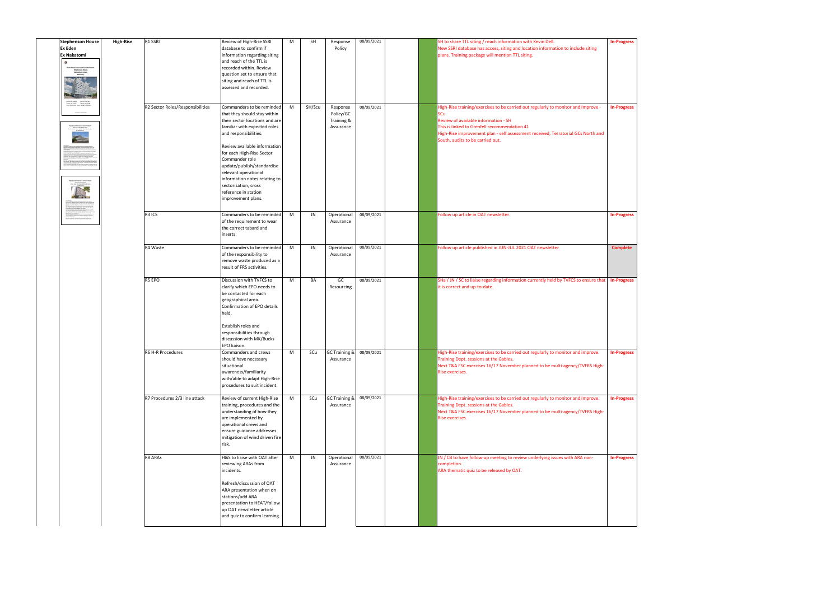| <b>Stephenson House</b><br><b>Ex Eden</b><br><b>Ex Nakatomi</b><br>存<br>Operational Assurance Incident Repo<br>- Stephenson House,<br>- Wetherburn Court,<br>- Bletchley.                                                                                                                                                                                                                                                                                                                                                                                                                                                                                   | <b>High-Rise</b> | R1 SSRI                          | Review of High-Rise SSRI<br>database to confirm if<br>information regarding siting<br>and reach of the TTL is<br>recorded within. Review<br>question set to ensure that<br>siting and reach of TTL is<br>assessed and recorded.                                                                                                                                                                  | M | <b>SH</b> | Response<br>Policy                               | 08/09/2021 | SH to share TTL siting / reach information with Kevin Dell.<br>New SSRI database has access, siting and location information to include siting<br>plans. Training package will mention TTL siting.                                                                                                       | <b>In-Progress</b> |
|-------------------------------------------------------------------------------------------------------------------------------------------------------------------------------------------------------------------------------------------------------------------------------------------------------------------------------------------------------------------------------------------------------------------------------------------------------------------------------------------------------------------------------------------------------------------------------------------------------------------------------------------------------------|------------------|----------------------------------|--------------------------------------------------------------------------------------------------------------------------------------------------------------------------------------------------------------------------------------------------------------------------------------------------------------------------------------------------------------------------------------------------|---|-----------|--------------------------------------------------|------------|----------------------------------------------------------------------------------------------------------------------------------------------------------------------------------------------------------------------------------------------------------------------------------------------------------|--------------------|
| PERSONAL BROSSMAN<br>the first that contains an initial for<br>entralizado de mais considerados a considerado bonseco acres casos tel.<br>Indias de la final con despois de final de considerado de final de la considerada.<br>Indias de la Contra de Hermelphia considerado de la considerada con<br>Péndengan Kabupat<br>Exercise Meksterei,<br>yn Ian, The Shik, Miliam Keyn,<br>13 May 2021<br><b>ATTER</b><br>an the advertise contact out at it is assume concentrate a high<br>Inc. Jury: Inc. Million Augmy - a from a citiz flast resistants<br>- Contactors managed in term the management of red and site<br>the waster constitution a basic te |                  | R2 Sector Roles/Responsibilities | Commanders to be reminded<br>that they should stay within<br>their sector locations and are<br>familiar with expected roles<br>and responsibilities.<br>Review available information<br>for each High-Rise Sector<br>Commander role<br>update/publish/standardise<br>relevant operational<br>information notes relating to<br>sectorisation, cross<br>reference in station<br>improvement plans. | M | SH/Scu    | Response<br>Policy/GC<br>Training &<br>Assurance | 08/09/2021 | High-Rise training/exercises to be carried out regularly to monitor and improve -<br>SCu<br>Review of available information - SH<br>This is linked to Grenfell recommendation 41<br>High-Rise improvement plan - self assessment received, Terratorial GCs North and<br>South, audits to be carried out. | <b>In-Progress</b> |
|                                                                                                                                                                                                                                                                                                                                                                                                                                                                                                                                                                                                                                                             |                  | R3 ICS                           | Commanders to be reminded<br>of the requirement to wear<br>the correct tabard and<br>inserts.                                                                                                                                                                                                                                                                                                    | M | JN        | Operational<br>Assurance                         | 08/09/2021 | Follow up article in OAT newsletter.                                                                                                                                                                                                                                                                     | <b>In-Progress</b> |
|                                                                                                                                                                                                                                                                                                                                                                                                                                                                                                                                                                                                                                                             |                  | R4 Waste                         | Commanders to be reminded<br>of the responsibility to<br>remove waste produced as a<br>result of FRS activities.                                                                                                                                                                                                                                                                                 | M | JN        | Operational<br>Assurance                         | 08/09/2021 | Follow up article published in JUN-JUL 2021 OAT newsletter                                                                                                                                                                                                                                               | <b>Complete</b>    |
|                                                                                                                                                                                                                                                                                                                                                                                                                                                                                                                                                                                                                                                             |                  | R5 EPO                           | Discussion with TVFCS to<br>clarify which EPO needs to<br>be contacted for each<br>geographical area.<br>Confirmation of EPO details<br>held.<br>Establish roles and<br>responsibilities through<br>discussion with MK/Bucks<br>EPO liaison.                                                                                                                                                     | M | BA        | GC<br>Resourcing                                 | 08/09/2021 | SHa / JN / SC to liaise regarding information currently held by TVFCS to ensure that<br>it is correct and up-to-date.                                                                                                                                                                                    | <b>In-Progress</b> |
|                                                                                                                                                                                                                                                                                                                                                                                                                                                                                                                                                                                                                                                             |                  | R6 H-R Procedures                | Commanders and crews<br>should have necessary<br>situational<br>awareness/familiarity<br>with/able to adapt High-Rise<br>procedures to suit incident.                                                                                                                                                                                                                                            | M | SCu       | GC Training & 08/09/2021<br>Assurance            |            | High-Rise training/exercises to be carried out regularly to monitor and improve.<br>Training Dept. sessions at the Gables.<br>Next T&A FSC exercises 16/17 November planned to be multi-agency/TVFRS High-<br>Rise exercises.                                                                            | <b>In-Progress</b> |
|                                                                                                                                                                                                                                                                                                                                                                                                                                                                                                                                                                                                                                                             |                  | R7 Procedures 2/3 line attack    | Review of current High-Rise<br>training, procedures and the<br>understanding of how they<br>are implemented by<br>operational crews and<br>ensure guidance addresses<br>mitigation of wind driven fire<br>risk.                                                                                                                                                                                  | M | SCu       | GC Training & 08/09/2021<br>Assurance            |            | High-Rise training/exercises to be carried out regularly to monitor and improve.<br>Training Dept. sessions at the Gables.<br>Next T&A FSC exercises 16/17 November planned to be multi-agency/TVFRS High-<br>Rise exercises.                                                                            | <b>In-Progress</b> |
|                                                                                                                                                                                                                                                                                                                                                                                                                                                                                                                                                                                                                                                             |                  | R8 ARAs                          | H&S to liaise with OAT after<br>reviewing ARAs from<br>incidents.<br>Refresh/discussion of OAT<br>ARA presentation when on<br>stations/add ARA<br>presentation to HEAT/follow<br>up OAT newsletter article<br>and quiz to confirm learning.                                                                                                                                                      | M | JN        | Operational<br>Assurance                         | 08/09/2021 | JN / CB to have follow-up meeting to review underlying issues with ARA non-<br>completion.<br>ARA thematic quiz to be released by OAT.                                                                                                                                                                   | <b>In-Progress</b> |

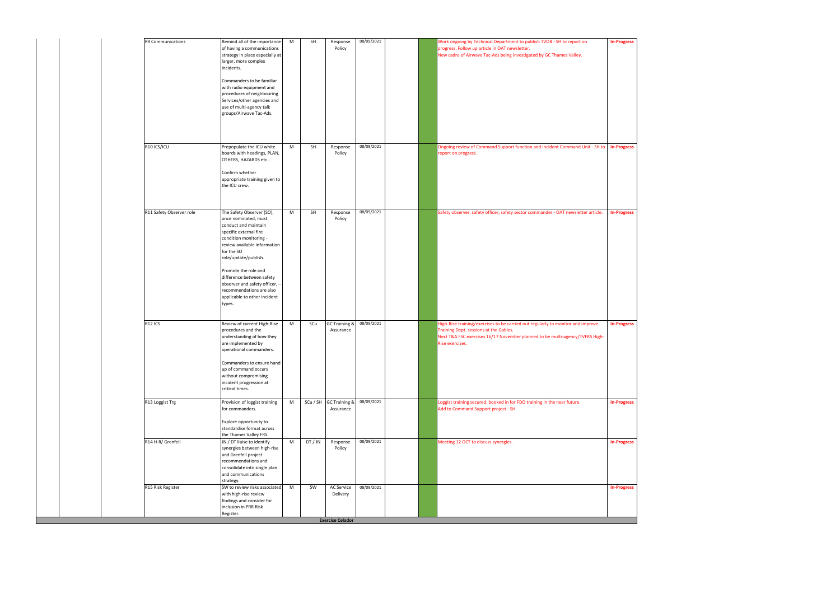| 08/09/2021<br>R9 Communications<br>Remind all of the importance<br>Work ongoing by Technical Department to publish TVOB - SH to report on<br>M<br>SH<br><b>In-Progress</b><br>Response<br>of having a communications<br>Policy<br>progress. Follow up article in OAT newsletter.<br>strategy in place especially at<br>New cadre of Airwave Tac-Ads being investigated by GC Thames Valley.<br>larger, more complex<br>incidents.<br>Commanders to be familiar<br>with radio equipment and<br>procedures of neighbouring<br>Services/other agencies and<br>use of multi-agency talk<br>groups/Airwave Tac-Ads.<br>R10 ICS/ICU<br>M<br>SH<br>08/09/2021<br>Ongoing review of Command Support function and Incident Command Unit - SH to<br>Prepopulate the ICU white<br>Response<br><b>In-Progress</b><br>boards with headings, PLAN,<br>Policy<br>report on progress.<br>OTHERS, HAZARDS etc<br>Confirm whether<br>appropriate training given to<br>the ICU crew.<br>08/09/2021<br>The Safety Observer (SO),<br>R11 Safety Observer role<br>SH<br>Safety observer, safety officer, safety sector commander - OAT newsletter article.<br>M<br>Response<br><b>In-Progress</b><br>once nominated, must<br>Policy<br>conduct and maintain<br>specific external fire<br>condition monitoring -<br>review available information<br>for the SO<br>role/update/publish.<br>Promote the role and<br>difference between safety<br>observer and safety officer, -<br>recommendations are also<br>applicable to other incident<br>types.<br>R <sub>12</sub> ICS<br>Review of current High-Rise<br>GC Training &<br>08/09/2021<br>High-Rise training/exercises to be carried out regularly to monitor and improve.<br>M<br>SCu<br><b>In-Progress</b><br>procedures and the<br>Training Dept. sessions at the Gables.<br>Assurance<br>understanding of how they<br>Next T&A FSC exercises 16/17 November planned to be multi-agency/TVFRS High-<br>are implemented by<br>Rise exercises.<br>operational commanders.<br>Commanders to ensure hand<br>up of command occurs<br>without compromising<br>incident progression at<br>critical times.<br>08/09/2021<br>R13 Loggist Trg<br>Provision of loggist training<br>SCu / SH GC Training &<br>Loggist training secured, booked in for FDO training in the near future.<br>M<br><b>In-Progress</b><br>for commanders.<br>Add to Command Support project - SH<br>Assurance<br>Explore opportunity to<br>standardise format across<br>the Thames Valley FRS.<br>R14 H-R/ Grenfell<br>JN / DT liaise to identify<br>DT/JN<br>08/09/2021<br>Meeting 12 OCT to discuss synergies.<br>M<br><b>In-Progress</b><br>Response<br>synergies between high-rise<br>Policy<br>and Grenfell project<br>recommendations and<br>consolidate into single plan<br>and communications<br>strategy.<br>08/09/2021<br>R15 Risk Register<br>SW to review risks associated<br>M<br>SW<br>AC Service<br><b>In-Progress</b><br>with high-rise review<br>Delivery<br>findings and consider for<br>inclusion in PRR Risk<br>Register. |  |  |  |  |  |
|--------------------------------------------------------------------------------------------------------------------------------------------------------------------------------------------------------------------------------------------------------------------------------------------------------------------------------------------------------------------------------------------------------------------------------------------------------------------------------------------------------------------------------------------------------------------------------------------------------------------------------------------------------------------------------------------------------------------------------------------------------------------------------------------------------------------------------------------------------------------------------------------------------------------------------------------------------------------------------------------------------------------------------------------------------------------------------------------------------------------------------------------------------------------------------------------------------------------------------------------------------------------------------------------------------------------------------------------------------------------------------------------------------------------------------------------------------------------------------------------------------------------------------------------------------------------------------------------------------------------------------------------------------------------------------------------------------------------------------------------------------------------------------------------------------------------------------------------------------------------------------------------------------------------------------------------------------------------------------------------------------------------------------------------------------------------------------------------------------------------------------------------------------------------------------------------------------------------------------------------------------------------------------------------------------------------------------------------------------------------------------------------------------------------------------------------------------------------------------------------------------------------------------------------------------------------------------------------------------------------------------------------------------------------------------------------------------------------------------------------------------------------------------------------------------------------------------------------------------------------------------------------------------------------------------------------------------------------------------------------------------------------------------------------|--|--|--|--|--|
|                                                                                                                                                                                                                                                                                                                                                                                                                                                                                                                                                                                                                                                                                                                                                                                                                                                                                                                                                                                                                                                                                                                                                                                                                                                                                                                                                                                                                                                                                                                                                                                                                                                                                                                                                                                                                                                                                                                                                                                                                                                                                                                                                                                                                                                                                                                                                                                                                                                                                                                                                                                                                                                                                                                                                                                                                                                                                                                                                                                                                                            |  |  |  |  |  |
|                                                                                                                                                                                                                                                                                                                                                                                                                                                                                                                                                                                                                                                                                                                                                                                                                                                                                                                                                                                                                                                                                                                                                                                                                                                                                                                                                                                                                                                                                                                                                                                                                                                                                                                                                                                                                                                                                                                                                                                                                                                                                                                                                                                                                                                                                                                                                                                                                                                                                                                                                                                                                                                                                                                                                                                                                                                                                                                                                                                                                                            |  |  |  |  |  |
|                                                                                                                                                                                                                                                                                                                                                                                                                                                                                                                                                                                                                                                                                                                                                                                                                                                                                                                                                                                                                                                                                                                                                                                                                                                                                                                                                                                                                                                                                                                                                                                                                                                                                                                                                                                                                                                                                                                                                                                                                                                                                                                                                                                                                                                                                                                                                                                                                                                                                                                                                                                                                                                                                                                                                                                                                                                                                                                                                                                                                                            |  |  |  |  |  |
|                                                                                                                                                                                                                                                                                                                                                                                                                                                                                                                                                                                                                                                                                                                                                                                                                                                                                                                                                                                                                                                                                                                                                                                                                                                                                                                                                                                                                                                                                                                                                                                                                                                                                                                                                                                                                                                                                                                                                                                                                                                                                                                                                                                                                                                                                                                                                                                                                                                                                                                                                                                                                                                                                                                                                                                                                                                                                                                                                                                                                                            |  |  |  |  |  |
|                                                                                                                                                                                                                                                                                                                                                                                                                                                                                                                                                                                                                                                                                                                                                                                                                                                                                                                                                                                                                                                                                                                                                                                                                                                                                                                                                                                                                                                                                                                                                                                                                                                                                                                                                                                                                                                                                                                                                                                                                                                                                                                                                                                                                                                                                                                                                                                                                                                                                                                                                                                                                                                                                                                                                                                                                                                                                                                                                                                                                                            |  |  |  |  |  |
|                                                                                                                                                                                                                                                                                                                                                                                                                                                                                                                                                                                                                                                                                                                                                                                                                                                                                                                                                                                                                                                                                                                                                                                                                                                                                                                                                                                                                                                                                                                                                                                                                                                                                                                                                                                                                                                                                                                                                                                                                                                                                                                                                                                                                                                                                                                                                                                                                                                                                                                                                                                                                                                                                                                                                                                                                                                                                                                                                                                                                                            |  |  |  |  |  |
|                                                                                                                                                                                                                                                                                                                                                                                                                                                                                                                                                                                                                                                                                                                                                                                                                                                                                                                                                                                                                                                                                                                                                                                                                                                                                                                                                                                                                                                                                                                                                                                                                                                                                                                                                                                                                                                                                                                                                                                                                                                                                                                                                                                                                                                                                                                                                                                                                                                                                                                                                                                                                                                                                                                                                                                                                                                                                                                                                                                                                                            |  |  |  |  |  |
|                                                                                                                                                                                                                                                                                                                                                                                                                                                                                                                                                                                                                                                                                                                                                                                                                                                                                                                                                                                                                                                                                                                                                                                                                                                                                                                                                                                                                                                                                                                                                                                                                                                                                                                                                                                                                                                                                                                                                                                                                                                                                                                                                                                                                                                                                                                                                                                                                                                                                                                                                                                                                                                                                                                                                                                                                                                                                                                                                                                                                                            |  |  |  |  |  |
|                                                                                                                                                                                                                                                                                                                                                                                                                                                                                                                                                                                                                                                                                                                                                                                                                                                                                                                                                                                                                                                                                                                                                                                                                                                                                                                                                                                                                                                                                                                                                                                                                                                                                                                                                                                                                                                                                                                                                                                                                                                                                                                                                                                                                                                                                                                                                                                                                                                                                                                                                                                                                                                                                                                                                                                                                                                                                                                                                                                                                                            |  |  |  |  |  |
|                                                                                                                                                                                                                                                                                                                                                                                                                                                                                                                                                                                                                                                                                                                                                                                                                                                                                                                                                                                                                                                                                                                                                                                                                                                                                                                                                                                                                                                                                                                                                                                                                                                                                                                                                                                                                                                                                                                                                                                                                                                                                                                                                                                                                                                                                                                                                                                                                                                                                                                                                                                                                                                                                                                                                                                                                                                                                                                                                                                                                                            |  |  |  |  |  |

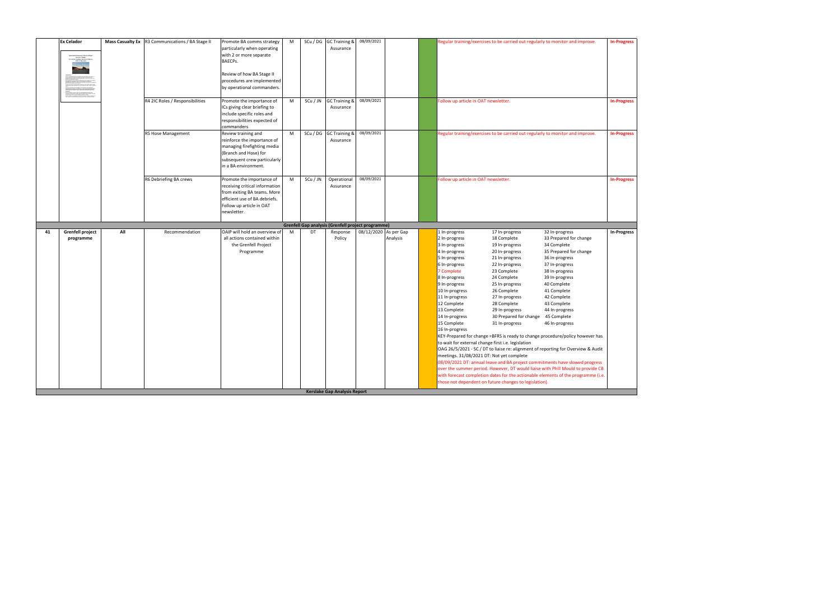|    | <b>Ex Celador</b><br>collecting incorporations are proposed to the fine attend-<br>decay (total for executivation, are that are alongstored by an<br>tie der kantings af in med 14 dat 1400 der han dered demonster met<br>Nationale Parisig hans hiele Easten Stadius af die derende af han<br>The nationale at the fire Group College in Munday of Karak |     | Mass Casualty Ex   R3 Communications / BA Stage II | Promote BA comms strategy<br>particularly when operating<br>with 2 or more separate<br>BAECPs.<br>Review of how BA Stage II<br>procedures are implemented<br>by operational commanders. | M |          | SCu / DG GC Training &<br>Assurance                | 08/09/2021            |          |                                                                                                                                                                                                                                                                         | Regular training/exercises to be carried out regularly to monitor and improve.                                                                                                                                                                                                                                                                                                                                                   |                                                                                                                                                                                                                                                                                                                                                                                                                                                                                                                                                                                                                                                                                                       | <b>In-Progress</b> |
|----|------------------------------------------------------------------------------------------------------------------------------------------------------------------------------------------------------------------------------------------------------------------------------------------------------------------------------------------------------------|-----|----------------------------------------------------|-----------------------------------------------------------------------------------------------------------------------------------------------------------------------------------------|---|----------|----------------------------------------------------|-----------------------|----------|-------------------------------------------------------------------------------------------------------------------------------------------------------------------------------------------------------------------------------------------------------------------------|----------------------------------------------------------------------------------------------------------------------------------------------------------------------------------------------------------------------------------------------------------------------------------------------------------------------------------------------------------------------------------------------------------------------------------|-------------------------------------------------------------------------------------------------------------------------------------------------------------------------------------------------------------------------------------------------------------------------------------------------------------------------------------------------------------------------------------------------------------------------------------------------------------------------------------------------------------------------------------------------------------------------------------------------------------------------------------------------------------------------------------------------------|--------------------|
|    |                                                                                                                                                                                                                                                                                                                                                            |     | R4 2IC Roles / Responsibilities                    | Promote the importance of<br>ICs giving clear briefing to<br>include specific roles and<br>responsibilities expected of<br>commanders                                                   | M | SCu / JN | <b>GC Training &amp;</b><br>Assurance              | 08/09/2021            |          | Follow up article in OAT newsletter.                                                                                                                                                                                                                                    |                                                                                                                                                                                                                                                                                                                                                                                                                                  |                                                                                                                                                                                                                                                                                                                                                                                                                                                                                                                                                                                                                                                                                                       | <b>In-Progress</b> |
|    |                                                                                                                                                                                                                                                                                                                                                            |     | R5 Hose Management                                 | Review training and<br>reinforce the importance of<br>managing firefighting media<br>(Branch and Hose) for<br>subsequent crew particularly<br>in a BA environment.                      | M |          | SCu / DG GC Training &<br>Assurance                | 08/09/2021            |          |                                                                                                                                                                                                                                                                         | Regular training/exercises to be carried out regularly to monitor and improve.                                                                                                                                                                                                                                                                                                                                                   |                                                                                                                                                                                                                                                                                                                                                                                                                                                                                                                                                                                                                                                                                                       | <b>In-Progress</b> |
|    |                                                                                                                                                                                                                                                                                                                                                            |     | R6 Debriefing BA crews                             | Promote the importance of<br>receiving critical information<br>from exiting BA teams. More<br>efficient use of BA debriefs.<br>Follow up article in OAT<br>newsletter.                  | M | SCu / JN | Operational<br>Assurance                           | 08/09/2021            |          | Follow up article in OAT newsletter.                                                                                                                                                                                                                                    |                                                                                                                                                                                                                                                                                                                                                                                                                                  |                                                                                                                                                                                                                                                                                                                                                                                                                                                                                                                                                                                                                                                                                                       | <b>In-Progress</b> |
|    |                                                                                                                                                                                                                                                                                                                                                            |     |                                                    |                                                                                                                                                                                         |   |          | Grenfell Gap analysis (Grenfell project programme) |                       |          |                                                                                                                                                                                                                                                                         |                                                                                                                                                                                                                                                                                                                                                                                                                                  |                                                                                                                                                                                                                                                                                                                                                                                                                                                                                                                                                                                                                                                                                                       |                    |
| 41 | <b>Grenfell project</b><br>programme                                                                                                                                                                                                                                                                                                                       | All | Recommendation                                     | OAIP will hold an overview of<br>all actions contained within<br>the Grenfell Project<br>Programme                                                                                      | M | DT       | Response<br>Policy<br>Kerslake Gap Analysis Report | 08/12/2020 As per Gap | Analysis | 1 In-progress<br>2 In-progress<br>3 In-progress<br>4 In-progress<br>5 In-progress<br>6 In-progress<br>7 Complete<br>8 In-progress<br>9 In-progress<br>10 In-progress<br>11 In-progress<br>12 Complete<br>13 Complete<br>14 In-progress<br>15 Complete<br>16 In-progress | 17 In-progress<br>18 Complete<br>19 In-progress<br>20 In-progress<br>21 In-progress<br>22 In-progress<br>23 Complete<br>24 Complete<br>25 In-progress<br>26 Complete<br>27 In-progress<br>28 Complete<br>29 In-progress<br>30 Prepared for change<br>31 In-progress<br>to wait for external change first i.e. legislation<br>meetings. 31/08/2021 DT: Not yet complete<br>those not dependent on future changes to legislation). | 32 In-progress<br>33 Prepared for change<br>34 Complete<br>35 Prepared for change<br>36 In-progress<br>37 In-progress<br>38 In-progress<br>39 In-progress<br>40 Complete<br>41 Complete<br>42 Complete<br>43 Complete<br>44 In-progress<br>45 Complete<br>46 In-progress<br>KEY-Prepared for change =BFRS is ready to change procedure/policy however has<br>OAG 26/5/2021 - SC / DT to liaise re: alignment of reporting for Overview & Audit<br>08/09/2021 DT: annual leave and BA project commitments have slowed progress<br>over the summer period. However, DT would liaise with Phill Mould to provide CB<br>with forecast completion dates for the actionable elements of the programme (i.e. | <b>In-Progress</b> |